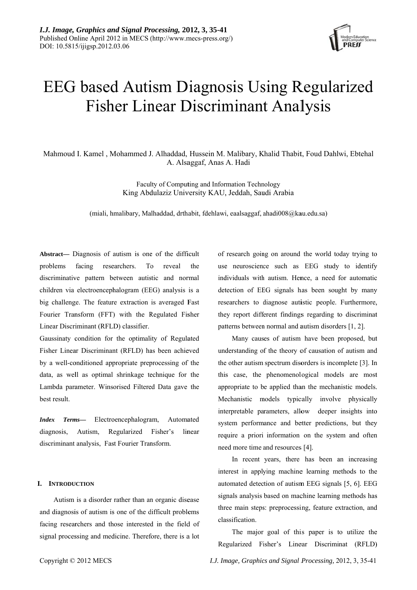

# **EEG** based Autism Diagnosis Using Regularized **Fisher Linear Discriminant Analysis**

Mahmoud I. Kamel, Mohammed J. Alhaddad, Hussein M. Malibary, Khalid Thabit, Foud Dahlwi, Ebtehal A. Alsaggaf, Anas A. Hadi

> Faculty of Computing and Information Technology King Abdulaziz University KAU, Jeddah, Saudi Arabia

(miali, hmalibary, Malhaddad, drthabit, fdehlawi, eaalsaggaf, ahadi008@kau.edu.sa)

Abstract— Diagnosis of autism is one of the difficult problems facing researchers. To reveal the discriminative pattern between autistic and normal children via electroencephalogram (EEG) analysis is a big challenge. The feature extraction is averaged Fast Fourier Transform (FFT) with the Regulated Fisher Linear Discriminant (RFLD) classifier.

Gaussinaty condition for the optimality of Regulated Fisher Linear Discriminant (RFLD) has been achieved by a well-conditioned appropriate preprocessing of the data, as well as optimal shrinkage technique for the Lambda parameter. Winsorised Filtered Data gave the best result.

Index Terms-Electroencephalogram, Automated diagnosis, Autism, Regularized Fisher's linear discriminant analysis, Fast Fourier Transform.

# I. INTRODUCTION

Autism is a disorder rather than an organic disease and diagnosis of autism is one of the difficult problems facing researchers and those interested in the field of signal processing and medicine. Therefore, there is a lot

of research going on around the world today trying to use neuroscience such as EEG study to identify individuals with autism. Hence, a need for automatic detection of EEG signals has been sought by many researchers to diagnose autistic people. Furthermore, they report different findings regarding to discriminat patterns between normal and autism disorders [1, 2].

Many causes of autism have been proposed, but understanding of the theory of causation of autism and the other autism spectrum disorders is incomplete [3]. In this case, the phenomenological models are most appropriate to be applied than the mechanistic models. Mechanistic models typically involve physically interpretable parameters, allow deeper insights into system performance and better predictions, but they require a priori information on the system and often need more time and resources [4].

In recent years, there has been an increasing interest in applying machine learning methods to the automated detection of autism EEG signals [5, 6]. EEG signals analysis based on machine learning methods has three main steps: preprocessing, feature extraction, and classification.

The major goal of this paper is to utilize the Regularized Fisher's Linear Discriminat (RFLD)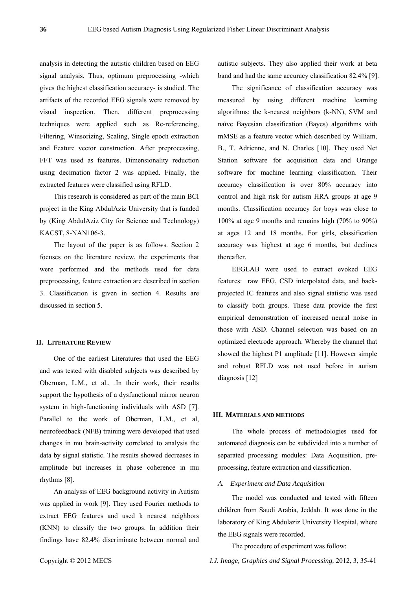analysis in detecting the autistic children based on EEG signal analysis. Thus, optimum preprocessing -which gives the highest classification accuracy- is studied. The artifacts of the recorded EEG signals were removed by visual inspection. Then, different preprocessing techniques were applied such as Re-referencing, Filtering, Winsorizing, Scaling, Single epoch extraction and Feature vector construction. After preprocessing, FFT was used as features. Dimensionality reduction using decimation factor 2 was applied. Finally, the extracted features were classified using RFLD.

This research is considered as part of the main BCI project in the King AbdulAziz University that is funded by (King AbdulAziz City for Science and Technology) KACST, 8-NAN106-3.

The layout of the paper is as follows. Section 2 focuses on the literature review, the experiments that were performed and the methods used for data preprocessing, feature extraction are described in section 3. Classification is given in section 4. Results are discussed in section 5.

# **II. LITERATURE REVIEW**

One of the earliest Literatures that used the EEG and was tested with disabled subjects was described by Oberman, L.M., et al., .In their work, their results support the hypothesis of a dysfunctional mirror neuron system in high-functioning individuals with ASD [7]. Parallel to the work of Oberman, L.M., et al, neurofeedback (NFB) training were developed that used changes in mu brain-activity correlated to analysis the data by signal statistic. The results showed decreases in amplitude but increases in phase coherence in mu rhythms [8].

An analysis of EEG background activity in Autism was applied in work [9]. They used Fourier methods to extract EEG features and used k nearest neighbors (KNN) to classify the two groups. In addition their findings have 82.4% discriminate between normal and autistic subjects. They also applied their work at beta band and had the same accuracy classification 82.4% [9].

The significance of classification accuracy was measured by using different machine learning algorithms: the k-nearest neighbors (k-NN), SVM and naïve Bayesian classification (Bayes) algorithms with mMSE as a feature vector which described by William, B., T. Adrienne, and N. Charles [10]. They used Net Station software for acquisition data and Orange software for machine learning classification. Their accuracy classification is over 80% accuracy into control and high risk for autism HRA groups at age 9 months. Classification accuracy for boys was close to 100% at age 9 months and remains high (70% to 90%) at ages 12 and 18 months. For girls, classification accuracy was highest at age 6 months, but declines thereafter.

EEGLAB were used to extract evoked EEG features: raw EEG, CSD interpolated data, and backprojected IC features and also signal statistic was used to classify both groups. These data provide the first empirical demonstration of increased neural noise in those with ASD. Channel selection was based on an optimized electrode approach. Whereby the channel that showed the highest P1 amplitude [11]. However simple and robust RFLD was not used before in autism diagnosis [12]

## **III. MATERIALS AND METHODS**

The whole process of methodologies used for automated diagnosis can be subdivided into a number of separated processing modules: Data Acquisition, preprocessing, feature extraction and classification.

# *A. Experiment and Data Acquisition*

The model was conducted and tested with fifteen children from Saudi Arabia, Jeddah. It was done in the laboratory of King Abdulaziz University Hospital, where the EEG signals were recorded.

The procedure of experiment was follow: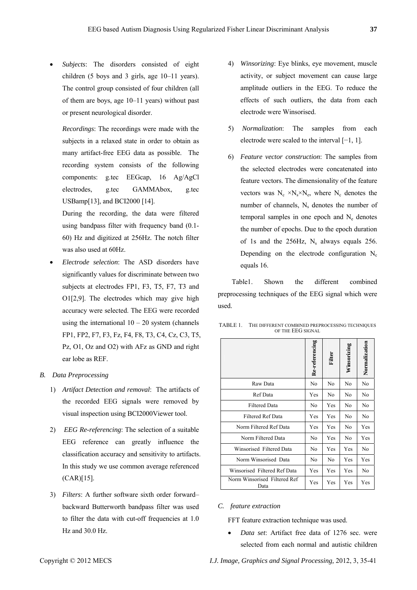*Subjects*: The disorders consisted of eight children (5 boys and 3 girls, age 10–11 years). The control group consisted of four children (all of them are boys, age 10–11 years) without past or present neurological disorder.

*Recordings*: The recordings were made with the subjects in a relaxed state in order to obtain as many artifact-free EEG data as possible. The recording system consists of the following components: g.tec EEGcap, 16 Ag/AgCl electrodes, g.tec GAMMAbox, g.tec USBamp[13], and BCI2000 [14].

During the recording, the data were filtered using bandpass filter with frequency band (0.1- 60) Hz and digitized at 256Hz. The notch filter was also used at 60Hz.

- *Electrode selection*: The ASD disorders have significantly values for discriminate between two subjects at electrodes FP1, F3, T5, F7, T3 and O1[2,9]. The electrodes which may give high accuracy were selected. The EEG were recorded using the international  $10 - 20$  system (channels FP1, FP2, F7, F3, Fz, F4, F8, T3, C4, Cz, C3, T5, Pz, O1, Oz and O2) with AFz as GND and right ear lobe as REF.
- *B. Data Preprocessing* 
	- 1) *Artifact Detection and removal*: The artifacts of the recorded EEG signals were removed by visual inspection using BCI2000Viewer tool.
	- 2) *EEG Re-referencing*: The selection of a suitable EEG reference can greatly influence the classification accuracy and sensitivity to artifacts. In this study we use common average referenced (CAR)[15].
	- 3) *Filters*: A further software sixth order forward– backward Butterworth bandpass filter was used to filter the data with cut-off frequencies at 1.0 Hz and 30.0 Hz.
- 4) *Winsorizing*: Eye blinks, eye movement, muscle activity, or subject movement can cause large amplitude outliers in the EEG. To reduce the effects of such outliers, the data from each electrode were Winsorised.
- 5) *Normalization*: The samples from each electrode were scaled to the interval [−1, 1].
- 6) *Feature vector construction*: The samples from the selected electrodes were concatenated into feature vectors. The dimensionality of the feature vectors was  $N_c \times N_s \times N_e$ , where  $N_c$  denotes the number of channels,  $N_s$  denotes the number of temporal samples in one epoch and  $N_e$  denotes the number of epochs. Due to the epoch duration of 1s and the 256Hz,  $N_s$  always equals 256. Depending on the electrode configuration  $N_c$ equals 16.

Table1. Shown the different combined preprocessing techniques of the EEG signal which were used.

| OF THE EEU SIGNAL            |                |        |             |               |  |
|------------------------------|----------------|--------|-------------|---------------|--|
|                              | Re-referencing | Filter | Winsorizing | Normalization |  |
| Raw Data                     | No             | No     | No          | No            |  |
| Ref Data                     | Yes            | No     | No          | No            |  |
| <b>Filtered Data</b>         | No             | Yes    | No          | No            |  |
| Filtered Ref Data            | Yes            | Yes    | No          | No            |  |
| Norm Filtered Ref Data       | Yes            | Yes    | No          | Yes           |  |
| Norm Filtered Data           | N <sub>0</sub> | Yes    | No          | Yes           |  |
| Winsorised Filtered Data     | N <sub>0</sub> | Yes    | Yes         | No            |  |
| Norm Winsorised Data         | No             | No     | Yes         | Yes           |  |
| Winsorised Filtered Ref Data | Yes            | Yes    | Yes         | No            |  |

TABLE 1. THE DIFFERENT COMBINED PREPROCESSING TECHNIQUES OF THE EEG SIGNAL

# *C. feature extraction*

Norm Winsorised Filtered Ref

FFT feature extraction technique was used.

 *Data set*: Artifact free data of 1276 sec. were selected from each normal and autistic children

Data Phickel Res Yes Yes Yes Yes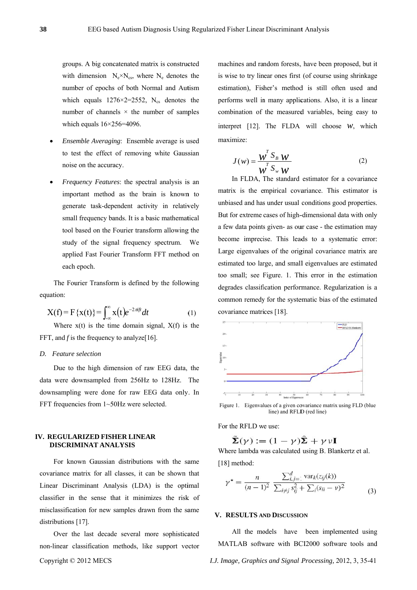groups. A big concatenated matrix is constructed with dimension  $N_e \times N_{cs}$ , where  $N_e$  denotes the number of epochs of both Normal and Autism which equals  $1276 \times 2 = 2552$ , N<sub>cs</sub> denotes the number of channels  $\times$  the number of samples which equals  $16\times256=4096$ .

- Ensemble Averaging: Ensemble average is used to test the effect of removing white Gaussian noise on the accuracy.
- Frequency Features: the spectral analysis is an important method as the brain is known to generate task-dependent activity in relatively small frequency bands. It is a basic mathematical tool based on the Fourier transform allowing the study of the signal frequency spectrum. We applied Fast Fourier Transform FFT method on each epoch.

The Fourier Transform is defined by the following equation:

$$
X(f) = F\{x(t)\} = \int_{-\infty}^{\infty} x(t)e^{-2\pi ift}dt
$$
 (1)

Where  $x(t)$  is the time domain signal,  $X(f)$  is the FFT, and  $f$  is the frequency to analyze[16].

## D. Feature selection

Due to the high dimension of raw EEG data, the data were downsampled from 256Hz to 128Hz. The downsampling were done for raw EEG data only. In FFT frequencies from 1~50Hz were selected.

# **IV. REGULARIZED FISHER LINEAR** DISCRIMINAT ANALYSIS

For known Gaussian distributions with the same covariance matrix for all classes, it can be shown that Linear Discriminant Analysis (LDA) is the optimal classifier in the sense that it minimizes the risk of misclassification for new samples drawn from the same distributions [17].

Over the last decade several more sophisticated non-linear classification methods, like support vector

machines and random forests, have been proposed, but it is wise to try linear ones first (of course using shrinkage estimation), Fisher's method is still often used and performs well in many applications. Also, it is a linear combination of the measured variables, being easy to interpret [12]. The FLDA will choose  $W$ , which maximize:

$$
J(w) = \frac{W^T S_B W}{W^T S_w W}
$$
 (2)

In FLDA, The standard estimator for a covariance matrix is the empirical covariance. This estimator is unbiased and has under usual conditions good properties. But for extreme cases of high-dimensional data with only a few data points given- as our case - the estimation may become imprecise. This leads to a systematic error: Large eigenvalues of the original covariance matrix are estimated too large, and small eigenvalues are estimated too small; see Figure. 1. This error in the estimation degrades classification performance. Regularization is a common remedy for the systematic bias of the estimated covariance matrices [18].



Figure 1. Eigenvalues of a given covariance matrix using FLD (blue line) and RFLD (red line)

For the RFLD we use:

$$
\tilde{\Sigma}(\gamma) := (1 - \gamma)\hat{\Sigma} + \gamma \nu \mathbf{I}
$$

Where lambda was calculated using B. Blankertz et al. [18] method:

$$
\gamma^* = \frac{n}{(n-1)^2} \frac{\sum_{i,j=1}^d \text{var}_k(z_{ij}(k))}{\sum_{i \neq j} s_{ij}^2 + \sum_i (s_{ii} - \nu)^2}
$$
(3)

### V. RESULTS AND DISCUSSION

All the models have been implemented using MATLAB software with BCI2000 software tools and

I.J. Image, Graphics and Signal Processing, 2012, 3, 35-41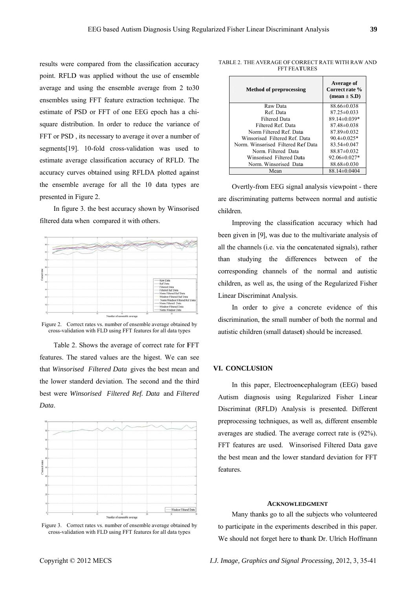results were compared from the classification accuracy point. RFLD was applied without the use of ensemble average and using the ensemble average from 2 to 30 ensembles using FFT feature extraction technique. The estimate of PSD or FFT of one EEG epoch has a chisquare distribution. In order to reduce the variance of FFT or PSD, its necessary to average it over a number of segments[19]. 10-fold cross-validation was used to estimate average classification accuracy of RFLD. The accuracy curves obtained using RFLDA plotted against the ensemble average for all the 10 data types are presented in Figure 2.

In figure 3. the best accuracy shown by Winsorised filtered data when compared it with others.



Figure 2. Correct rates vs. number of ensemble average obtained by cross-validation with FLD using FFT features for all data types

Table 2. Shows the average of correct rate for FFT features. The stared values are the higest. We can see that Winsorised Filtered Data gives the best mean and the lower standerd deviation. The second and the third best were Winsorised Filtered Ref. Data and Filtered Data.



Figure 3. Correct rates vs. number of ensemble average obtained by cross-validation with FLD using FFT features for all data types

| <b>Method of preprocessing</b>    | Average of<br>Correct rate %<br>$(\text{mean} \pm S.D)$ |  |  |
|-----------------------------------|---------------------------------------------------------|--|--|
| Raw Data                          | $88.66 \pm 0.038$                                       |  |  |
| Ref. Data                         | $87.25 \pm 0.033$                                       |  |  |
| <b>Filtered Data</b>              | 89.14±0.039*                                            |  |  |
| Filtered Ref. Data                | $87.48 \pm 0.038$                                       |  |  |
| Norm Filtered Ref. Data           | $87.89 \pm 0.032$                                       |  |  |
| Winsorised Filtered Ref Data      | $90.4 \pm 0.025*$                                       |  |  |
| Norm Winsorised Filtered Ref Data | $83.54 \pm 0.047$                                       |  |  |
| Norm Filtered Data                | $88.87 \pm 0.032$                                       |  |  |
| Winsorised Filtered Data          | $92.06 \pm 0.027*$                                      |  |  |
| Norm Winsorised Data              | $88.68 \pm 0.030$                                       |  |  |
| Mean                              | 88.14±0.0404                                            |  |  |

TABLE 2. THE AVERAGE OF CORRECT RATE WITH RAW AND **FFT FEATURES** 

Overtly-from EEG signal analysis viewpoint - there are discriminating patterns between normal and autistic children.

Improving the classification accuracy which had been given in [9], was due to the multivariate analysis of all the channels (i.e. via the concatenated signals), rather than studying the differences between of the corresponding channels of the normal and autistic children, as well as, the using of the Regularized Fisher Linear Discriminat Analysis.

In order to give a concrete evidence of this discrimination, the small number of both the normal and autistic children (small dataset) should be increased.

### VI. CONCLUSION

In this paper, Electroencephalogram (EEG) based Autism diagnosis using Regularized Fisher Linear Discriminat (RFLD) Analysis is presented. Different preprocessing techniques, as well as, different ensemble averages are studied. The average correct rate is (92%). FFT features are used. Winsorised Filtered Data gave the best mean and the lower standard deviation for FFT features

# **ACKNOWLEDGMENT**

Many thanks go to all the subjects who volunteered to participate in the experiments described in this paper. We should not forget here to thank Dr. Ulrich Hoffmann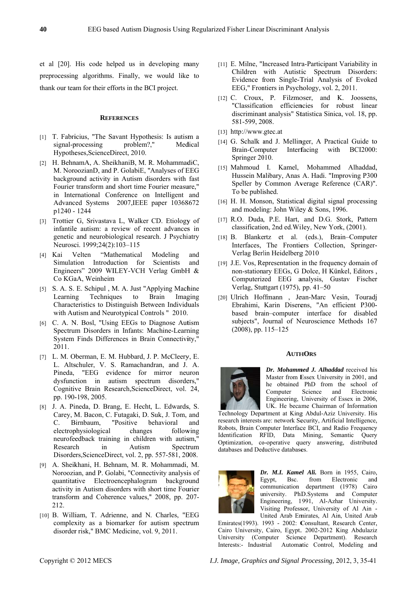et al [20]. His code helped us in developing many preprocessing algorithms. Finally, we would like to thank our team for their efforts in the BCI project.

## **REFERENCES**

- [1] T. Fabricius, "The Savant Hypothesis: Is autism a signal-processing problem?." Medical Hypotheses, ScienceDirect, 2010.
- [2] H. BehnamA, A. SheikhaniB, M. R. MohammadiC, M. NoroozianD, and P. GolabiE, "Analyses of EEG background activity in Autism disorders with fast Fourier transform and short time Fourier measure," in International Conference on Intelligent and Advanced Systems 2007, IEEE paper 10368672 p1240 - 1244
- [3] Trottier G, Srivastava L, Walker CD. Etiology of infantile autism: a review of recent advances in genetic and neurobiological research. J Psychiatry Neurosci. 1999;24(2):103-115
- Velten "Mathematical  $[4]$  Kai Modeling and Simulation Introduction for Scientists and Engineers" 2009 WILEY-VCH Verlag GmbH & Co KGaA, Weinheim
- [5] S. A. S. E. Schipul, M. A. Just "Applying Machine" Learning Techniques to Brain Imaging Characteristics to Distinguish Between Individuals with Autism and Neurotypical Controls " 2010.
- [6] C. A. N. Bosl, "Using EEGs to Diagnose Autism Spectrum Disorders in Infants: Machine-Learning System Finds Differences in Brain Connectivity," 2011.
- [7] L. M. Oberman, E. M. Hubbard, J. P. McCleery, E. L. Altschuler, V. S. Ramachandran, and J. A. Pineda, "EEG evidence for mirror neuron dysfunction in autism spectrum disorders," Cognitive Brain Research, ScienceDirect, vol. 24, pp. 190-198, 2005.
- [8] J. A. Pineda, D. Brang, E. Hecht, L. Edwards, S. Carey, M. Bacon, C. Futagaki, D. Suk, J. Tom, and "Positive  $\mathcal{C}$ Birnbaum, behavioral and electrophysiological changes following neurofeedback training in children with autism," Research  $in$ Autism Spectrum Disorders, ScienceDirect, vol. 2, pp. 557-581, 2008.
- [9] A. Sheikhani, H. Behnam, M. R. Mohammadi, M. Noroozian, and P. Golabi, "Connectivity analysis of quantitative Electroencephalogram background activity in Autism disorders with short time Fourier transform and Coherence values," 2008, pp. 207-212.
- [10] B. William, T. Adrienne, and N. Charles, "EEG complexity as a biomarker for autism spectrum disorder risk," BMC Medicine, vol. 9, 2011.
- [11] E. Milne, "Increased Intra-Participant Variability in Children with Autistic Spectrum Disorders: Evidence from Single-Trial Analysis of Evoked EEG," Frontiers in Psychology, vol. 2, 2011.
- [12] C. Croux. P. Filzmoser. and K. Joossens. "Classification efficiencies for robust linear discriminant analysis" Statistica Sinica, vol. 18, pp. 581-599, 2008.
- $[13]$  http://www.gtec.at
- [14] G. Schalk and J. Mellinger, A Practical Guide to Brain-Computer Interfacing with BCI2000: Springer 2010.
- [15] Mahmoud I. Kamel, Mohammed Alhaddad, Hussein Malibary, Anas A. Hadi. "Improving P300 Speller by Common Average Reference (CAR)". To be published.
- [16] H. H. Monson, Statistical digital signal processing and modeling: John Wiley & Sons, 1996.
- [17] R.O. Duda, P.E. Hart, and D.G. Stork, Pattern classification, 2nd ed. Wiley, New York, (2001).
- [18] B. Blankertz et al. (eds.), Brain-Computer Interfaces, The Frontiers Collection, Springer-Verlag Berlin Heidelberg 2010
- [19] J.E. Vos, Representation in the frequency domain of non-stationary EEGs, G Dolce, H Künkel, Editors, Computerized EEG analysis, Gustav Fischer Verlag, Stuttgart (1975), pp. 41-50
- [20] Ulrich Hoffmann, Jean-Marc Vesin, Touradi Ebrahimi, Karin Diserens, "An efficient P300based brain-computer interface for disabled subjects", Journal of Neuroscience Methods 167  $(2008)$ , pp. 115-125

### **AUTHORS**



Dr. Mohammed J. Alhaddad received his Master from Essex University in 2001, and he obtained PhD from the school of Computer Science and Electronic Engineering, University of Essex in 2006, UK. He became Chairman of Information

Technology Department at King Abdul-Aziz University. His research interests are: network Security, Artificial Intelligence, Robots, Brain Computer Interface BCI, and Radio Frequency Identification RFID. Data Mining. Semantic Ouery Optimization, co-operative query answering, distributed databases and Deductive databases.



Dr. M.I. Kamel Ali. Born in 1955, Cairo, Bsc. from Electronic Egypt, and communication department (1978) Cairo university. PhD.Systems and Computer Engineering, 1991, Al-Azhar University. Visiting Professor, University of Al Ain -United Arab Emirates, Al Ain, United Arab

Emirates(1993). 1993 - 2002: Consultant, Research Center, Cairo University, Cairo, Egypt. 2002-2012 King Abdulaziz University (Computer Science Department). Research Interests:- Industrial Automatic Control, Modeling and